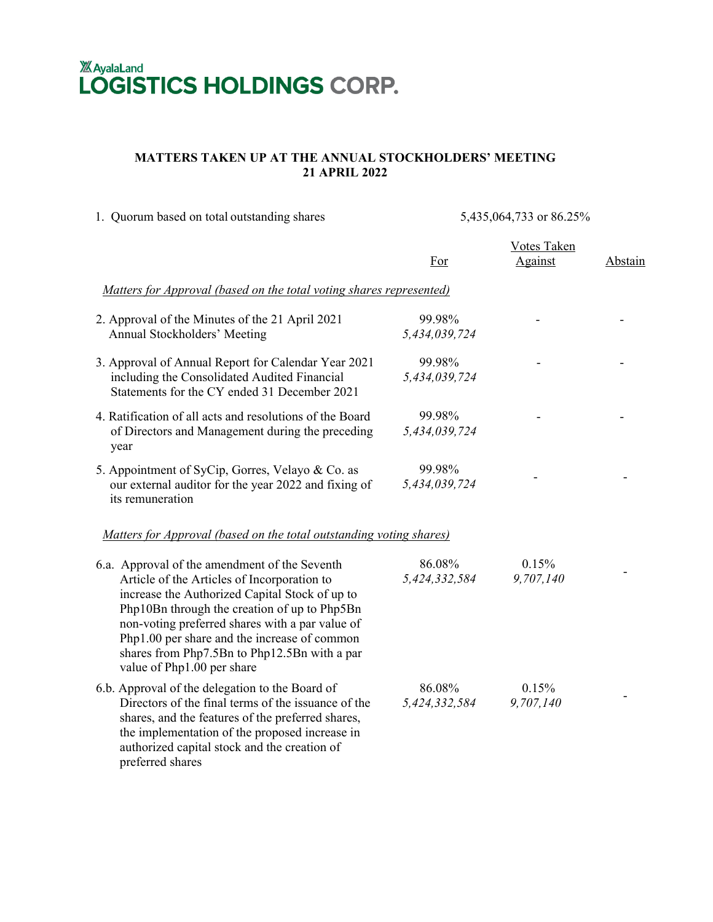## **XAyalaLand LOGISTICS HOLDINGS CORP.**

## **MATTERS TAKEN UP AT THE ANNUAL STOCKHOLDERS' MEETING 21 APRIL 2022**

| 1. Quorum based on total outstanding shares                                                                                                                                                                                                                                                                                                                                     | 5,435,064,733 or 86.25% |                               |         |
|---------------------------------------------------------------------------------------------------------------------------------------------------------------------------------------------------------------------------------------------------------------------------------------------------------------------------------------------------------------------------------|-------------------------|-------------------------------|---------|
|                                                                                                                                                                                                                                                                                                                                                                                 | For                     | <b>Votes Taken</b><br>Against | Abstain |
| Matters for Approval (based on the total voting shares represented)                                                                                                                                                                                                                                                                                                             |                         |                               |         |
| 2. Approval of the Minutes of the 21 April 2021<br>Annual Stockholders' Meeting                                                                                                                                                                                                                                                                                                 | 99.98%<br>5,434,039,724 |                               |         |
| 3. Approval of Annual Report for Calendar Year 2021<br>including the Consolidated Audited Financial<br>Statements for the CY ended 31 December 2021                                                                                                                                                                                                                             | 99.98%<br>5,434,039,724 |                               |         |
| 4. Ratification of all acts and resolutions of the Board<br>of Directors and Management during the preceding<br>year                                                                                                                                                                                                                                                            | 99.98%<br>5,434,039,724 |                               |         |
| 5. Appointment of SyCip, Gorres, Velayo & Co. as<br>our external auditor for the year 2022 and fixing of<br>its remuneration                                                                                                                                                                                                                                                    | 99.98%<br>5,434,039,724 |                               |         |
| Matters for Approval (based on the total outstanding voting shares)                                                                                                                                                                                                                                                                                                             |                         |                               |         |
| 6.a. Approval of the amendment of the Seventh<br>Article of the Articles of Incorporation to<br>increase the Authorized Capital Stock of up to<br>Php10Bn through the creation of up to Php5Bn<br>non-voting preferred shares with a par value of<br>Php1.00 per share and the increase of common<br>shares from Php7.5Bn to Php12.5Bn with a par<br>value of Php1.00 per share | 86.08%<br>5,424,332,584 | 0.15%<br>9,707,140            |         |
| 6.b. Approval of the delegation to the Board of<br>Directors of the final terms of the issuance of the<br>shares, and the features of the preferred shares,<br>the implementation of the proposed increase in<br>authorized capital stock and the creation of<br>preferred shares                                                                                               | 86.08%<br>5,424,332,584 | 0.15%<br>9,707,140            |         |